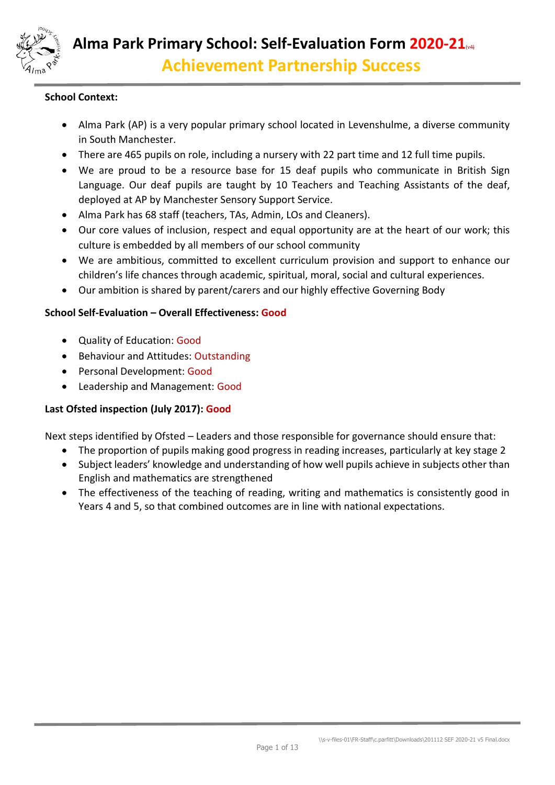

# **School Context:**

- Alma Park (AP) is a very popular primary school located in Levenshulme, a diverse community in South Manchester.
- There are 465 pupils on role, including a nursery with 22 part time and 12 full time pupils.
- We are proud to be a resource base for 15 deaf pupils who communicate in British Sign Language. Our deaf pupils are taught by 10 Teachers and Teaching Assistants of the deaf, deployed at AP by Manchester Sensory Support Service.
- Alma Park has 68 staff (teachers, TAs, Admin, LOs and Cleaners).
- Our core values of inclusion, respect and equal opportunity are at the heart of our work; this culture is embedded by all members of our school community
- We are ambitious, committed to excellent curriculum provision and support to enhance our children's life chances through academic, spiritual, moral, social and cultural experiences.
- Our ambition is shared by parent/carers and our highly effective Governing Body

# **School Self-Evaluation – Overall Effectiveness: Good**

- Quality of Education: Good
- Behaviour and Attitudes: Outstanding
- Personal Development: Good
- Leadership and Management: Good

# **Last Ofsted inspection (July 2017): Good**

Next steps identified by Ofsted – Leaders and those responsible for governance should ensure that:

- The proportion of pupils making good progress in reading increases, particularly at key stage 2
- Subject leaders' knowledge and understanding of how well pupils achieve in subjects other than English and mathematics are strengthened
- The effectiveness of the teaching of reading, writing and mathematics is consistently good in Years 4 and 5, so that combined outcomes are in line with national expectations.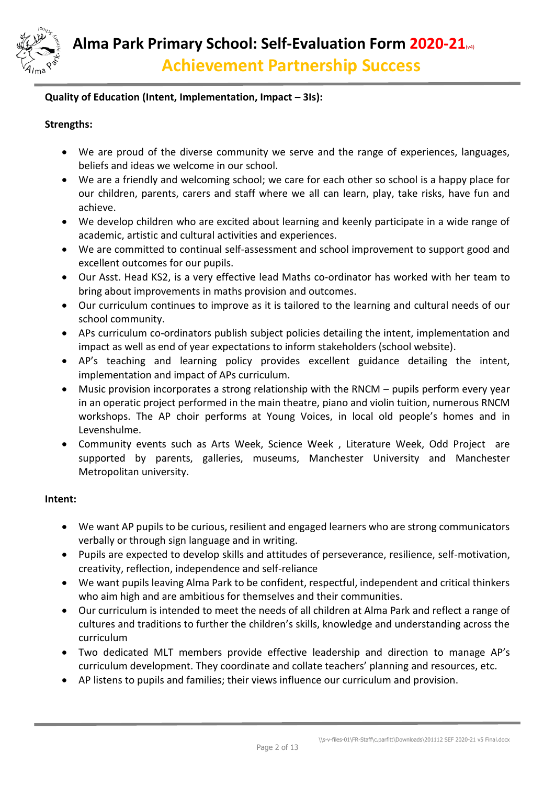

## **Quality of Education (Intent, Implementation, Impact – 3Is):**

## **Strengths:**

- We are proud of the diverse community we serve and the range of experiences, languages, beliefs and ideas we welcome in our school.
- We are a friendly and welcoming school; we care for each other so school is a happy place for our children, parents, carers and staff where we all can learn, play, take risks, have fun and achieve.
- We develop children who are excited about learning and keenly participate in a wide range of academic, artistic and cultural activities and experiences.
- We are committed to continual self-assessment and school improvement to support good and excellent outcomes for our pupils.
- Our Asst. Head KS2, is a very effective lead Maths co-ordinator has worked with her team to bring about improvements in maths provision and outcomes.
- Our curriculum continues to improve as it is tailored to the learning and cultural needs of our school community.
- APs curriculum co-ordinators publish subject policies detailing the intent, implementation and impact as well as end of year expectations to inform stakeholders (school website).
- AP's teaching and learning policy provides excellent guidance detailing the intent, implementation and impact of APs curriculum.
- Music provision incorporates a strong relationship with the RNCM pupils perform every year in an operatic project performed in the main theatre, piano and violin tuition, numerous RNCM workshops. The AP choir performs at Young Voices, in local old people's homes and in Levenshulme.
- Community events such as Arts Week, Science Week , Literature Week, Odd Project are supported by parents, galleries, museums, Manchester University and Manchester Metropolitan university.

## **Intent:**

- We want AP pupils to be curious, resilient and engaged learners who are strong communicators verbally or through sign language and in writing.
- Pupils are expected to develop skills and attitudes of perseverance, resilience, self-motivation, creativity, reflection, independence and self-reliance
- We want pupils leaving Alma Park to be confident, respectful, independent and critical thinkers who aim high and are ambitious for themselves and their communities.
- Our curriculum is intended to meet the needs of all children at Alma Park and reflect a range of cultures and traditions to further the children's skills, knowledge and understanding across the curriculum
- Two dedicated MLT members provide effective leadership and direction to manage AP's curriculum development. They coordinate and collate teachers' planning and resources, etc.
- AP listens to pupils and families; their views influence our curriculum and provision.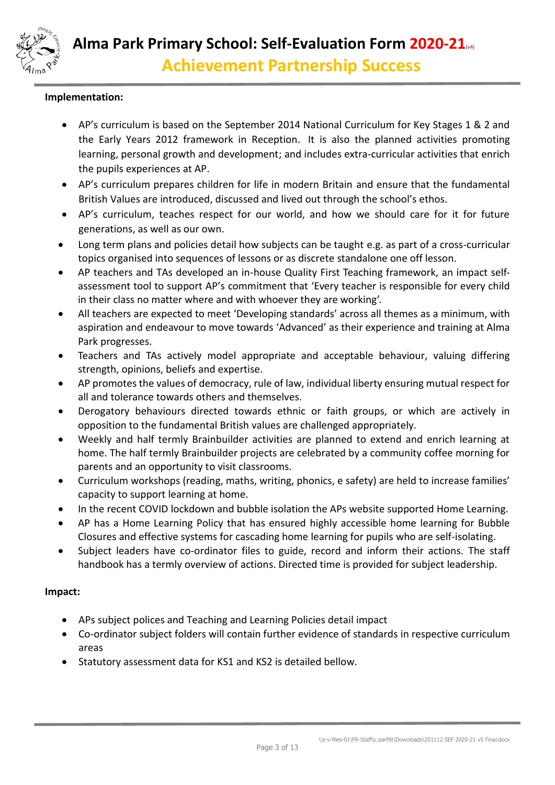

## **Implementation:**

- AP's curriculum is based on the September 2014 National Curriculum for Key Stages 1 & 2 and the Early Years 2012 framework in Reception. It is also the planned activities promoting learning, personal growth and development; and includes extra-curricular activities that enrich the pupils experiences at AP.
- AP's curriculum prepares children for life in modern Britain and ensure that the fundamental British Values are introduced, discussed and lived out through the school's ethos.
- AP's curriculum, teaches respect for our world, and how we should care for it for future generations, as well as our own.
- Long term plans and policies detail how subjects can be taught e.g. as part of a cross-curricular topics organised into sequences of lessons or as discrete standalone one off lesson.
- AP teachers and TAs developed an in-house Quality First Teaching framework, an impact selfassessment tool to support AP's commitment that 'Every teacher is responsible for every child in their class no matter where and with whoever they are working'.
- All teachers are expected to meet 'Developing standards' across all themes as a minimum, with aspiration and endeavour to move towards 'Advanced' as their experience and training at Alma Park progresses.
- Teachers and TAs actively model appropriate and acceptable behaviour, valuing differing strength, opinions, beliefs and expertise.
- AP promotes the values of democracy, rule of law, individual liberty ensuring mutual respect for all and tolerance towards others and themselves.
- Derogatory behaviours directed towards ethnic or faith groups, or which are actively in opposition to the fundamental British values are challenged appropriately.
- Weekly and half termly Brainbuilder activities are planned to extend and enrich learning at home. The half termly Brainbuilder projects are celebrated by a community coffee morning for parents and an opportunity to visit classrooms.
- Curriculum workshops (reading, maths, writing, phonics, e safety) are held to increase families' capacity to support learning at home.
- In the recent COVID lockdown and bubble isolation the APs website supported Home Learning.
- AP has a Home Learning Policy that has ensured highly accessible home learning for Bubble Closures and effective systems for cascading home learning for pupils who are self-isolating.
- Subject leaders have co-ordinator files to guide, record and inform their actions. The staff handbook has a termly overview of actions. Directed time is provided for subject leadership.

#### **Impact:**

- APs subject polices and Teaching and Learning Policies detail impact
- Co-ordinator subject folders will contain further evidence of standards in respective curriculum areas
- Statutory assessment data for KS1 and KS2 is detailed bellow.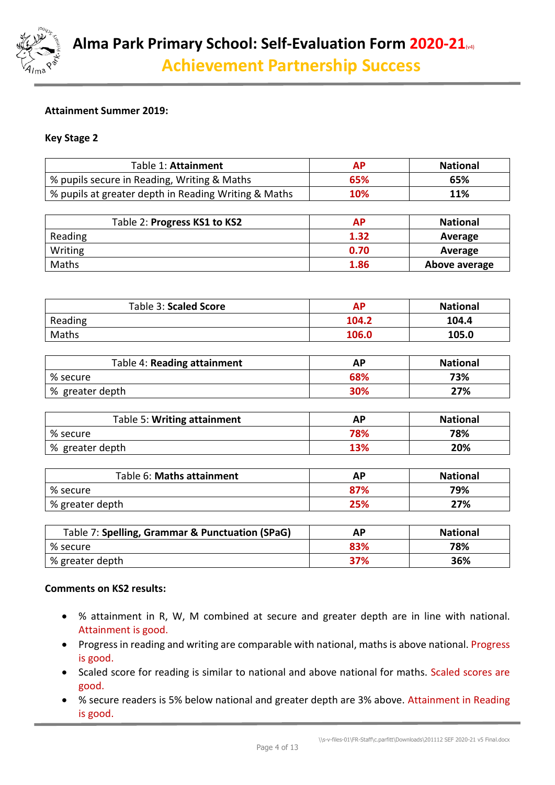

## **Attainment Summer 2019:**

#### **Key Stage 2**

| Table 1: Attainment                                  | <b>AP</b> | <b>National</b> |
|------------------------------------------------------|-----------|-----------------|
| % pupils secure in Reading, Writing & Maths          | 65%       | 65%             |
| % pupils at greater depth in Reading Writing & Maths | 10%       | 11%             |
|                                                      |           |                 |
| Table 2: Progress KS1 to KS2                         | <b>AP</b> | <b>National</b> |
| Reading                                              | 1.32      | Average         |
| Writing                                              | 0.70      | Average         |
| Maths                                                | 1.86      | Above average   |
| Table 3: Scaled Score                                | <b>AP</b> | <b>National</b> |
|                                                      |           |                 |
| Reading                                              | 104.2     | 104.4           |
| Maths                                                | 106.0     | 105.0           |
|                                                      |           |                 |
| Table 4: Reading attainment                          | <b>AP</b> | <b>National</b> |
| % secure                                             | 68%       | 73%             |
| % greater depth                                      | 30%       | 27%             |
|                                                      |           |                 |
| Tahla 5: Writing attainment                          | ΛD        | National        |

| Table 5: Writing attainment | AP  | <b>National</b> |
|-----------------------------|-----|-----------------|
| % secure                    | 78% | 78%             |
| │% greater depth            | 13% | 20%             |

| Table 6: Maths attainment | ΑP  | <b>National</b> |
|---------------------------|-----|-----------------|
| % secure                  | 87% | 79%             |
| % greater depth           | 25% | 27%             |

| Table 7: Spelling, Grammar & Punctuation (SPaG) | АΡ         | <b>National</b> |
|-------------------------------------------------|------------|-----------------|
| $%$ secure                                      | 83%        | 78%             |
| % greater depth                                 | <b>37%</b> | 36%             |

#### **Comments on KS2 results:**

- % attainment in R, W, M combined at secure and greater depth are in line with national. Attainment is good.
- Progress in reading and writing are comparable with national, maths is above national. Progress is good.
- Scaled score for reading is similar to national and above national for maths. Scaled scores are good.
- % secure readers is 5% below national and greater depth are 3% above. Attainment in Reading is good.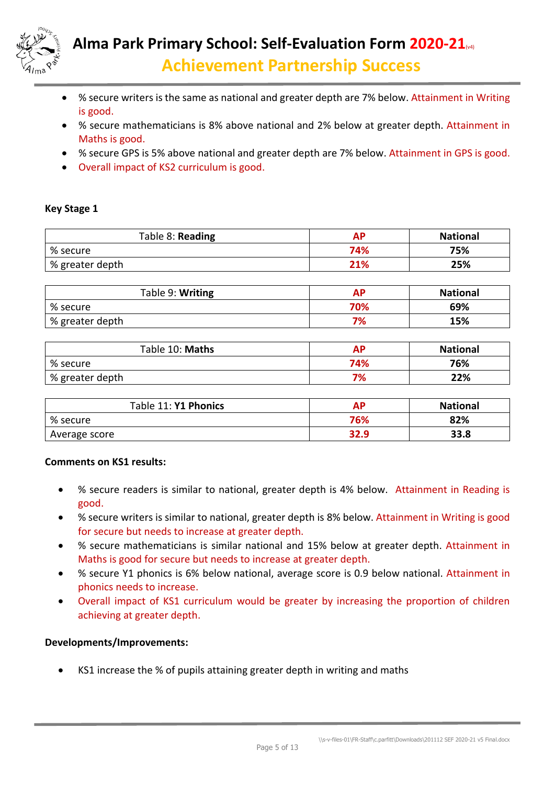

- % secure writers is the same as national and greater depth are 7% below. Attainment in Writing is good.
- % secure mathematicians is 8% above national and 2% below at greater depth. Attainment in Maths is good.
- % secure GPS is 5% above national and greater depth are 7% below. Attainment in GPS is good.
- Overall impact of KS2 curriculum is good.

## **Key Stage 1**

| Table 8: Reading | АΡ  | <b>National</b> |
|------------------|-----|-----------------|
| % secure         | 74% | 75%             |
| % greater depth  | 21% | 25%             |
|                  |     |                 |

| Table 9: Writing | AP  | <b>National</b> |
|------------------|-----|-----------------|
| % secure         | 70% | 69%             |
| % greater depth  | 7%  | 15%             |
|                  |     |                 |

| Table 10: Maths | АΡ  | <b>National</b> |
|-----------------|-----|-----------------|
| % secure        | 74% | 76%             |
| % greater depth | 7%  | 22%             |

| Table 11: Y1 Phonics | <b>AP</b> | <b>National</b> |
|----------------------|-----------|-----------------|
| % secure             | 76%       | 82%             |
| Average score        | 32.9      | 33.8            |

## **Comments on KS1 results:**

- % secure readers is similar to national, greater depth is 4% below. Attainment in Reading is good.
- % secure writers is similar to national, greater depth is 8% below. Attainment in Writing is good for secure but needs to increase at greater depth.
- % secure mathematicians is similar national and 15% below at greater depth. Attainment in Maths is good for secure but needs to increase at greater depth.
- % secure Y1 phonics is 6% below national, average score is 0.9 below national. Attainment in phonics needs to increase.
- Overall impact of KS1 curriculum would be greater by increasing the proportion of children achieving at greater depth.

#### **Developments/Improvements:**

KS1 increase the % of pupils attaining greater depth in writing and maths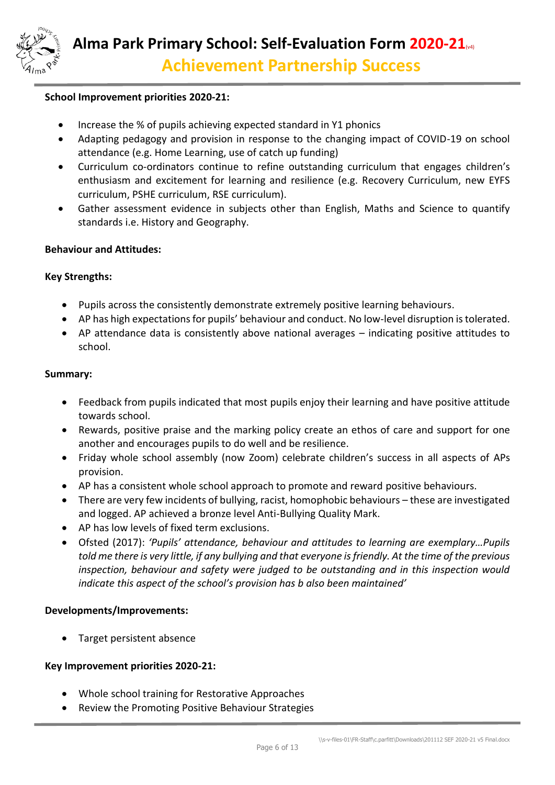

#### **School Improvement priorities 2020-21:**

- Increase the % of pupils achieving expected standard in Y1 phonics
- Adapting pedagogy and provision in response to the changing impact of COVID-19 on school attendance (e.g. Home Learning, use of catch up funding)
- Curriculum co-ordinators continue to refine outstanding curriculum that engages children's enthusiasm and excitement for learning and resilience (e.g. Recovery Curriculum, new EYFS curriculum, PSHE curriculum, RSE curriculum).
- Gather assessment evidence in subjects other than English, Maths and Science to quantify standards i.e. History and Geography.

#### **Behaviour and Attitudes:**

#### **Key Strengths:**

- Pupils across the consistently demonstrate extremely positive learning behaviours.
- AP has high expectations for pupils' behaviour and conduct. No low-level disruption is tolerated.
- AP attendance data is consistently above national averages indicating positive attitudes to school.

#### **Summary:**

- Feedback from pupils indicated that most pupils enjoy their learning and have positive attitude towards school.
- Rewards, positive praise and the marking policy create an ethos of care and support for one another and encourages pupils to do well and be resilience.
- Friday whole school assembly (now Zoom) celebrate children's success in all aspects of APs provision.
- AP has a consistent whole school approach to promote and reward positive behaviours.
- There are very few incidents of bullying, racist, homophobic behaviours these are investigated and logged. AP achieved a bronze level Anti-Bullying Quality Mark.
- AP has low levels of fixed term exclusions.
- Ofsted (2017): *'Pupils' attendance, behaviour and attitudes to learning are exemplary…Pupils told me there is very little, if any bullying and that everyone is friendly. At the time of the previous inspection, behaviour and safety were judged to be outstanding and in this inspection would indicate this aspect of the school's provision has b also been maintained'*

#### **Developments/Improvements:**

Target persistent absence

#### **Key Improvement priorities 2020-21:**

- Whole school training for Restorative Approaches
- Review the Promoting Positive Behaviour Strategies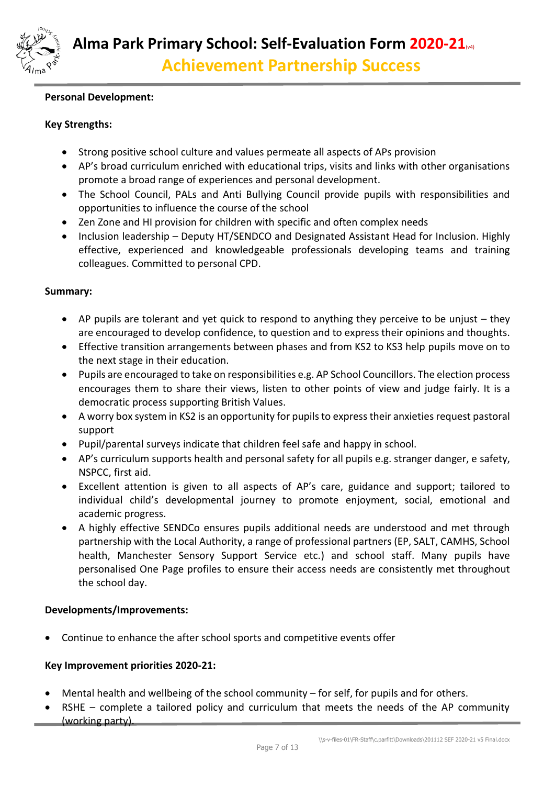

## **Personal Development:**

## **Key Strengths:**

- Strong positive school culture and values permeate all aspects of APs provision
- AP's broad curriculum enriched with educational trips, visits and links with other organisations promote a broad range of experiences and personal development.
- The School Council, PALs and Anti Bullying Council provide pupils with responsibilities and opportunities to influence the course of the school
- Zen Zone and HI provision for children with specific and often complex needs
- Inclusion leadership Deputy HT/SENDCO and Designated Assistant Head for Inclusion. Highly effective, experienced and knowledgeable professionals developing teams and training colleagues. Committed to personal CPD.

#### **Summary:**

- AP pupils are tolerant and yet quick to respond to anything they perceive to be unjust they are encouraged to develop confidence, to question and to express their opinions and thoughts.
- Effective transition arrangements between phases and from KS2 to KS3 help pupils move on to the next stage in their education.
- Pupils are encouraged to take on responsibilities e.g. AP School Councillors. The election process encourages them to share their views, listen to other points of view and judge fairly. It is a democratic process supporting British Values.
- A worry box system in KS2 is an opportunity for pupils to express their anxieties request pastoral support
- Pupil/parental surveys indicate that children feel safe and happy in school.
- AP's curriculum supports health and personal safety for all pupils e.g. stranger danger, e safety, NSPCC, first aid.
- Excellent attention is given to all aspects of AP's care, guidance and support; tailored to individual child's developmental journey to promote enjoyment, social, emotional and academic progress.
- A highly effective SENDCo ensures pupils additional needs are understood and met through partnership with the Local Authority, a range of professional partners (EP, SALT, CAMHS, School health, Manchester Sensory Support Service etc.) and school staff. Many pupils have personalised One Page profiles to ensure their access needs are consistently met throughout the school day.

#### **Developments/Improvements:**

Continue to enhance the after school sports and competitive events offer

#### **Key Improvement priorities 2020-21:**

- Mental health and wellbeing of the school community for self, for pupils and for others.
- RSHE complete a tailored policy and curriculum that meets the needs of the AP community (working party).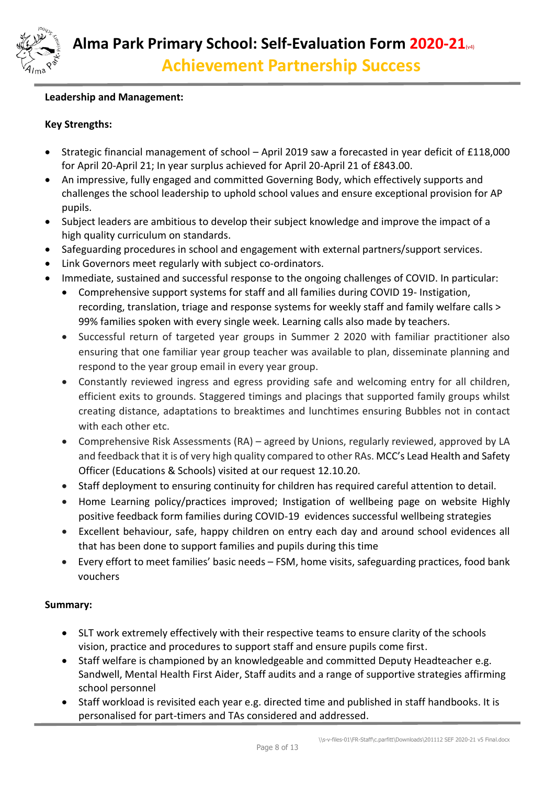

## **Leadership and Management:**

## **Key Strengths:**

- Strategic financial management of school April 2019 saw a forecasted in year deficit of £118,000 for April 20-April 21; In year surplus achieved for April 20-April 21 of £843.00.
- An impressive, fully engaged and committed Governing Body, which effectively supports and challenges the school leadership to uphold school values and ensure exceptional provision for AP pupils.
- Subject leaders are ambitious to develop their subject knowledge and improve the impact of a high quality curriculum on standards.
- Safeguarding procedures in school and engagement with external partners/support services.
- Link Governors meet regularly with subject co-ordinators.
- Immediate, sustained and successful response to the ongoing challenges of COVID. In particular:
	- Comprehensive support systems for staff and all families during COVID 19- Instigation, recording, translation, triage and response systems for weekly staff and family welfare calls > 99% families spoken with every single week. Learning calls also made by teachers.
	- Successful return of targeted year groups in Summer 2 2020 with familiar practitioner also ensuring that one familiar year group teacher was available to plan, disseminate planning and respond to the year group email in every year group.
	- Constantly reviewed ingress and egress providing safe and welcoming entry for all children, efficient exits to grounds. Staggered timings and placings that supported family groups whilst creating distance, adaptations to breaktimes and lunchtimes ensuring Bubbles not in contact with each other etc.
	- Comprehensive Risk Assessments (RA) agreed by Unions, regularly reviewed, approved by LA and feedback that it is of very high quality compared to other RAs. MCC's Lead Health and Safety Officer (Educations & Schools) visited at our request 12.10.20.
	- Staff deployment to ensuring continuity for children has required careful attention to detail.
	- Home Learning policy/practices improved; Instigation of wellbeing page on website Highly positive feedback form families during COVID-19 evidences successful wellbeing strategies
	- Excellent behaviour, safe, happy children on entry each day and around school evidences all that has been done to support families and pupils during this time
	- Every effort to meet families' basic needs FSM, home visits, safeguarding practices, food bank vouchers

## **Summary:**

- SLT work extremely effectively with their respective teams to ensure clarity of the schools vision, practice and procedures to support staff and ensure pupils come first.
- Staff welfare is championed by an knowledgeable and committed Deputy Headteacher e.g. Sandwell, Mental Health First Aider, Staff audits and a range of supportive strategies affirming school personnel
- Staff workload is revisited each year e.g. directed time and published in staff handbooks. It is personalised for part-timers and TAs considered and addressed.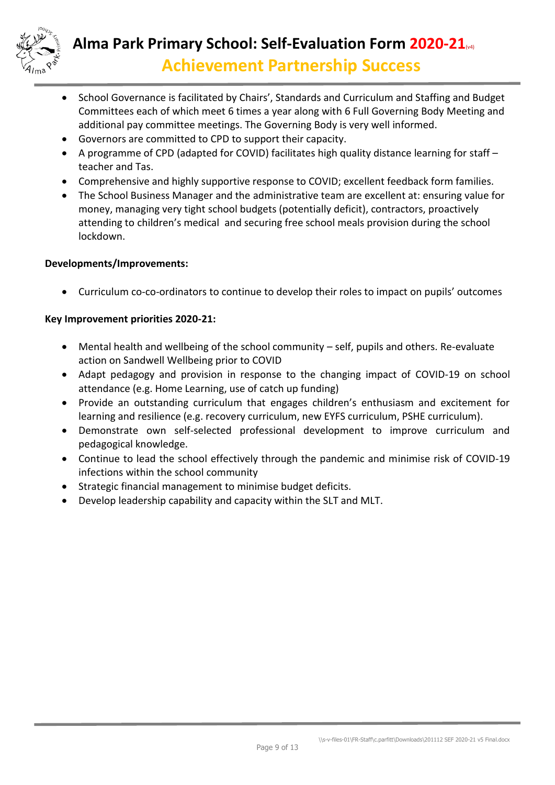

# **Alma Park Primary School: Self-Evaluation Form 2020-21**(v4) **Achievement Partnership Success**

- School Governance is facilitated by Chairs', Standards and Curriculum and Staffing and Budget Committees each of which meet 6 times a year along with 6 Full Governing Body Meeting and additional pay committee meetings. The Governing Body is very well informed.
- Governors are committed to CPD to support their capacity.
- A programme of CPD (adapted for COVID) facilitates high quality distance learning for staff teacher and Tas.
- Comprehensive and highly supportive response to COVID; excellent feedback form families.
- The School Business Manager and the administrative team are excellent at: ensuring value for money, managing very tight school budgets (potentially deficit), contractors, proactively attending to children's medical and securing free school meals provision during the school lockdown.

## **Developments/Improvements:**

Curriculum co-co-ordinators to continue to develop their roles to impact on pupils' outcomes

# **Key Improvement priorities 2020-21:**

- Mental health and wellbeing of the school community self, pupils and others. Re-evaluate action on Sandwell Wellbeing prior to COVID
- Adapt pedagogy and provision in response to the changing impact of COVID-19 on school attendance (e.g. Home Learning, use of catch up funding)
- Provide an outstanding curriculum that engages children's enthusiasm and excitement for learning and resilience (e.g. recovery curriculum, new EYFS curriculum, PSHE curriculum).
- Demonstrate own self-selected professional development to improve curriculum and pedagogical knowledge.
- Continue to lead the school effectively through the pandemic and minimise risk of COVID-19 infections within the school community
- Strategic financial management to minimise budget deficits.
- Develop leadership capability and capacity within the SLT and MLT.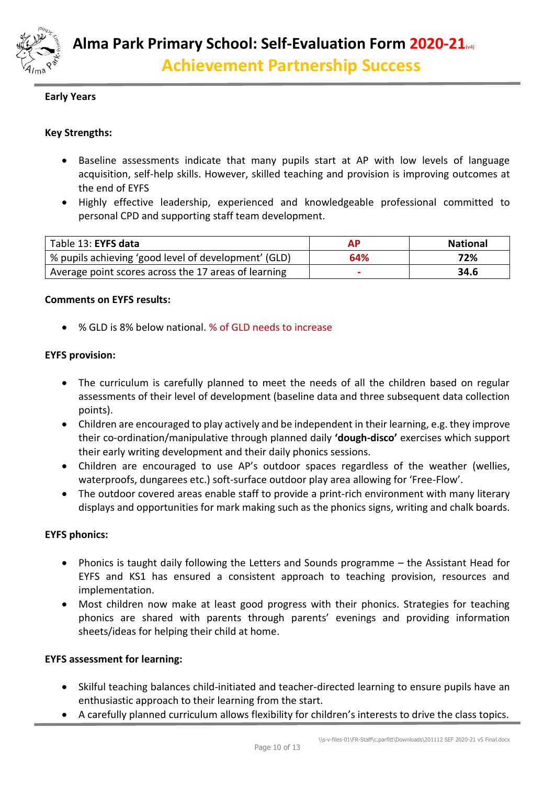

## **Early Years**

## **Key Strengths:**

- Baseline assessments indicate that many pupils start at AP with low levels of language acquisition, self-help skills. However, skilled teaching and provision is improving outcomes at the end of EYFS
- Highly effective leadership, experienced and knowledgeable professional committed to personal CPD and supporting staff team development.

| Table 13: EYFS data                                   |     | <b>National</b> |
|-------------------------------------------------------|-----|-----------------|
| '% pupils achieving 'good level of development' (GLD) | 64% | 72%             |
| Average point scores across the 17 areas of learning  | -   | 34.6            |

#### **Comments on EYFS results:**

% GLD is 8% below national. % of GLD needs to increase

#### **EYFS provision:**

- The curriculum is carefully planned to meet the needs of all the children based on regular assessments of their level of development (baseline data and three subsequent data collection points).
- Children are encouraged to play actively and be independent in their learning, e.g. they improve their co-ordination/manipulative through planned daily **'dough-disco'** exercises which support their early writing development and their daily phonics sessions.
- Children are encouraged to use AP's outdoor spaces regardless of the weather (wellies, waterproofs, dungarees etc.) soft-surface outdoor play area allowing for 'Free-Flow'.
- The outdoor covered areas enable staff to provide a print-rich environment with many literary displays and opportunities for mark making such as the phonics signs, writing and chalk boards.

#### **EYFS phonics:**

- Phonics is taught daily following the Letters and Sounds programme the Assistant Head for EYFS and KS1 has ensured a consistent approach to teaching provision, resources and implementation.
- Most children now make at least good progress with their phonics. Strategies for teaching phonics are shared with parents through parents' evenings and providing information sheets/ideas for helping their child at home.

#### **EYFS assessment for learning:**

- Skilful teaching balances child-initiated and teacher-directed learning to ensure pupils have an enthusiastic approach to their learning from the start.
- A carefully planned curriculum allows flexibility for children's interests to drive the class topics.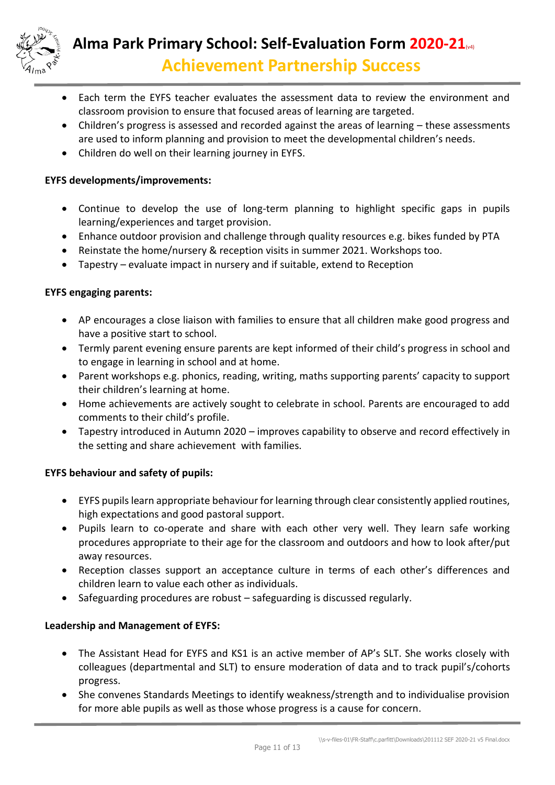

- Each term the EYFS teacher evaluates the assessment data to review the environment and classroom provision to ensure that focused areas of learning are targeted.
- Children's progress is assessed and recorded against the areas of learning these assessments are used to inform planning and provision to meet the developmental children's needs.
- Children do well on their learning journey in EYFS.

# **EYFS developments/improvements:**

- Continue to develop the use of long-term planning to highlight specific gaps in pupils learning/experiences and target provision.
- Enhance outdoor provision and challenge through quality resources e.g. bikes funded by PTA
- Reinstate the home/nursery & reception visits in summer 2021. Workshops too.
- Tapestry evaluate impact in nursery and if suitable, extend to Reception

# **EYFS engaging parents:**

- AP encourages a close liaison with families to ensure that all children make good progress and have a positive start to school.
- Termly parent evening ensure parents are kept informed of their child's progress in school and to engage in learning in school and at home.
- Parent workshops e.g. phonics, reading, writing, maths supporting parents' capacity to support their children's learning at home.
- Home achievements are actively sought to celebrate in school. Parents are encouraged to add comments to their child's profile.
- Tapestry introduced in Autumn 2020 improves capability to observe and record effectively in the setting and share achievement with families.

## **EYFS behaviour and safety of pupils:**

- EYFS pupils learn appropriate behaviour for learning through clear consistently applied routines, high expectations and good pastoral support.
- Pupils learn to co-operate and share with each other very well. They learn safe working procedures appropriate to their age for the classroom and outdoors and how to look after/put away resources.
- Reception classes support an acceptance culture in terms of each other's differences and children learn to value each other as individuals.
- Safeguarding procedures are robust safeguarding is discussed regularly.

## **Leadership and Management of EYFS:**

- The Assistant Head for EYFS and KS1 is an active member of AP's SLT. She works closely with colleagues (departmental and SLT) to ensure moderation of data and to track pupil's/cohorts progress.
- She convenes Standards Meetings to identify weakness/strength and to individualise provision for more able pupils as well as those whose progress is a cause for concern.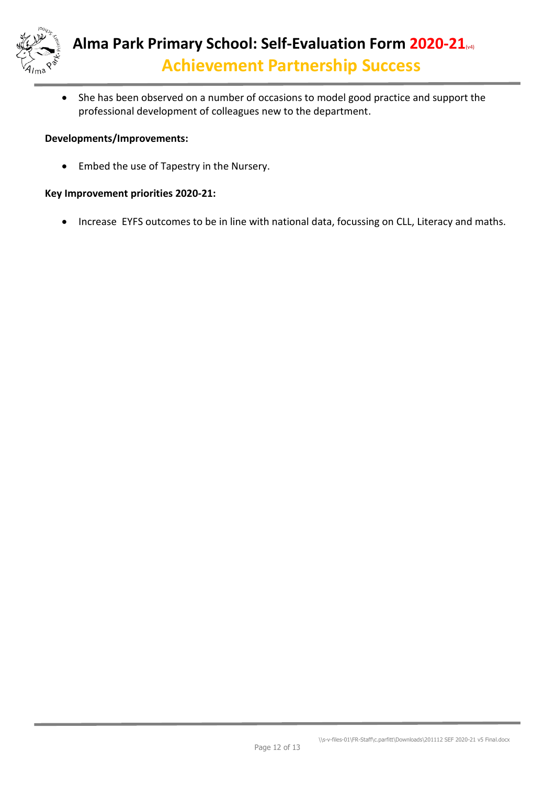

• She has been observed on a number of occasions to model good practice and support the professional development of colleagues new to the department.

## **Developments/Improvements:**

• Embed the use of Tapestry in the Nursery.

## **Key Improvement priorities 2020-21:**

• Increase EYFS outcomes to be in line with national data, focussing on CLL, Literacy and maths.